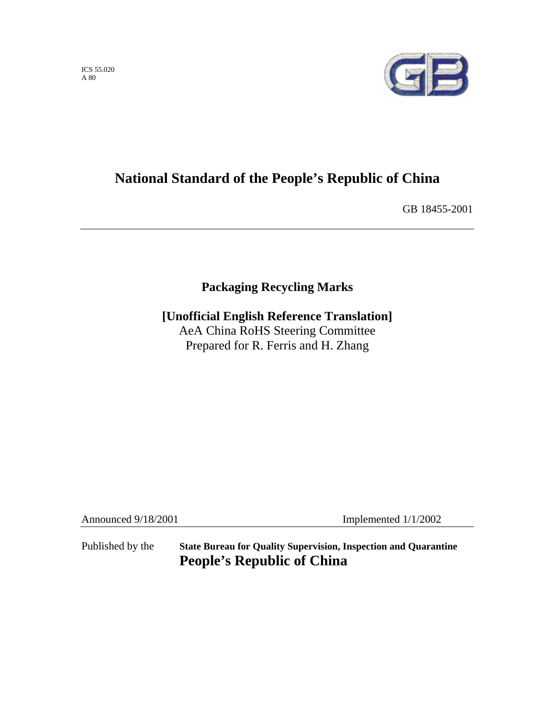ICS 55.020 A 80



# **National Standard of the People's Republic of China**

GB 18455-2001

# **Packaging Recycling Marks**

**[Unofficial English Reference Translation]**  AeA China RoHS Steering Committee Prepared for R. Ferris and H. Zhang

Announced 9/18/2001 Implemented 1/1/2002

Published by the **State Bureau for Quality Supervision, Inspection and Quarantine People's Republic of China**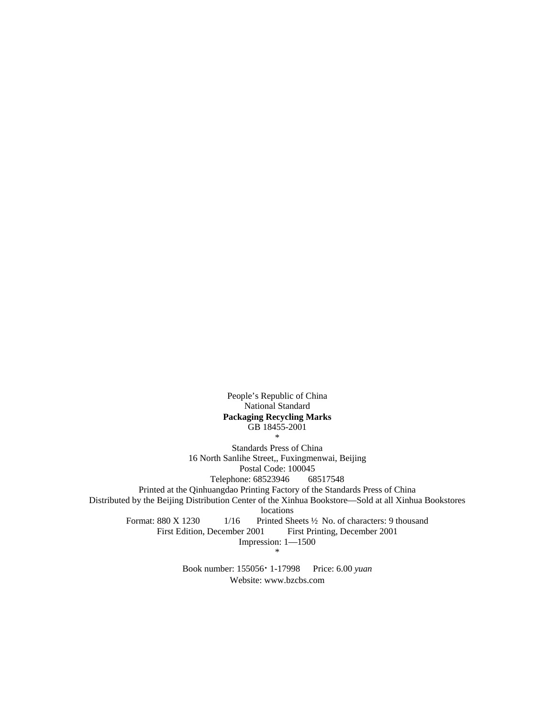People's Republic of China National Standard **Packaging Recycling Marks**  GB 18455-2001

\*

Standards Press of China 16 North Sanlihe Street,, Fuxingmenwai, Beijing Postal Code: 100045 Telephone: 68523946 68517548

Printed at the Qinhuangdao Printing Factory of the Standards Press of China

Distributed by the Beijing Distribution Center of the Xinhua Bookstore—Sold at all Xinhua Bookstores

locations

Format: 880 X 1230 1/16 Printed Sheets <sup>1</sup>/2 No. of characters: 9 thousand

First Edition, December 2001 First Printing, December 2001

Impression: 1—1500

\*

Book number: 155056⋅ 1-17998 Price: 6.00 *yuan* Website: www.bzcbs.com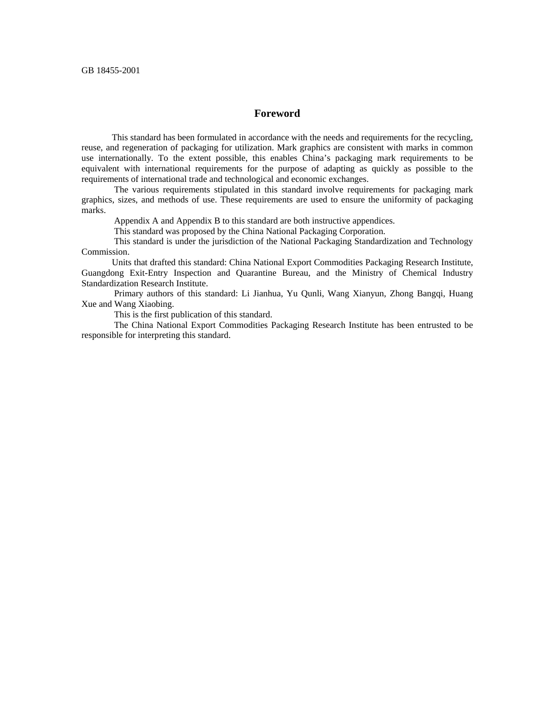## **Foreword**

 This standard has been formulated in accordance with the needs and requirements for the recycling, reuse, and regeneration of packaging for utilization. Mark graphics are consistent with marks in common use internationally. To the extent possible, this enables China's packaging mark requirements to be equivalent with international requirements for the purpose of adapting as quickly as possible to the requirements of international trade and technological and economic exchanges.

 The various requirements stipulated in this standard involve requirements for packaging mark graphics, sizes, and methods of use. These requirements are used to ensure the uniformity of packaging marks.

Appendix A and Appendix B to this standard are both instructive appendices.

This standard was proposed by the China National Packaging Corporation.

 This standard is under the jurisdiction of the National Packaging Standardization and Technology Commission.

 Units that drafted this standard: China National Export Commodities Packaging Research Institute, Guangdong Exit-Entry Inspection and Quarantine Bureau, and the Ministry of Chemical Industry Standardization Research Institute.

 Primary authors of this standard: Li Jianhua, Yu Qunli, Wang Xianyun, Zhong Bangqi, Huang Xue and Wang Xiaobing.

This is the first publication of this standard.

 The China National Export Commodities Packaging Research Institute has been entrusted to be responsible for interpreting this standard.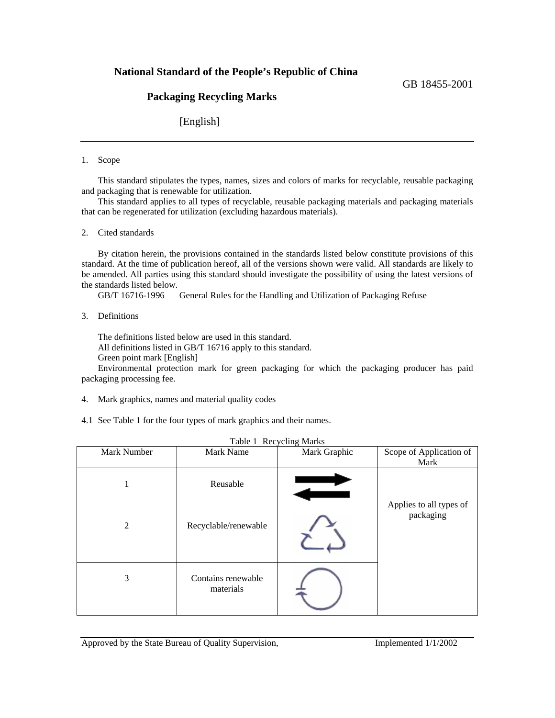# **National Standard of the People's Republic of China**

# **Packaging Recycling Marks**

[English]

## 1. Scope

 This standard stipulates the types, names, sizes and colors of marks for recyclable, reusable packaging and packaging that is renewable for utilization.

 This standard applies to all types of recyclable, reusable packaging materials and packaging materials that can be regenerated for utilization (excluding hazardous materials).

2. Cited standards

 By citation herein, the provisions contained in the standards listed below constitute provisions of this standard. At the time of publication hereof, all of the versions shown were valid. All standards are likely to be amended. All parties using this standard should investigate the possibility of using the latest versions of the standards listed below.

GB/T 16716-1996 General Rules for the Handling and Utilization of Packaging Refuse

3. Definitions

 The definitions listed below are used in this standard. All definitions listed in GB/T 16716 apply to this standard.

Green point mark [English]

 Environmental protection mark for green packaging for which the packaging producer has paid packaging processing fee.

- 4. Mark graphics, names and material quality codes
- 4.1 See Table 1 for the four types of mark graphics and their names.

| Mark Number | Mark Name                       | Mark Graphic | Scope of Application of<br>Mark |
|-------------|---------------------------------|--------------|---------------------------------|
| -1          | Reusable                        |              | Applies to all types of         |
| 2           | Recyclable/renewable            |              | packaging                       |
| 3           | Contains renewable<br>materials |              |                                 |

# Table 1 Recycling Marks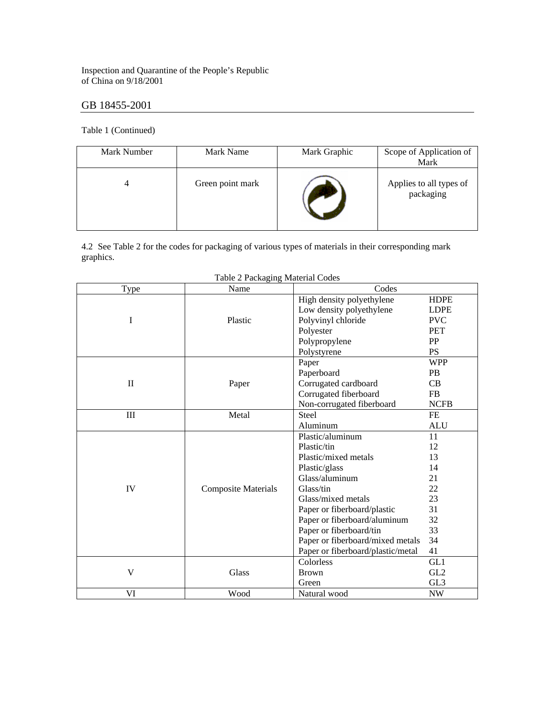Inspection and Quarantine of the People's Republic of China on 9/18/2001

# GB 18455-2001

Table 1 (Continued)

| Mark Number | Mark Name        | Mark Graphic | Scope of Application of<br>Mark      |
|-------------|------------------|--------------|--------------------------------------|
|             | Green point mark |              | Applies to all types of<br>packaging |

4.2 See Table 2 for the codes for packaging of various types of materials in their corresponding mark graphics.

| Type         | Name                       | Codes                             |                 |
|--------------|----------------------------|-----------------------------------|-----------------|
|              |                            | High density polyethylene         | <b>HDPE</b>     |
|              |                            | Low density polyethylene          | <b>LDPE</b>     |
| I            | Plastic                    | Polyvinyl chloride                | <b>PVC</b>      |
|              |                            | Polyester                         | PET             |
|              |                            | Polypropylene                     | PP              |
|              |                            | Polystyrene                       | <b>PS</b>       |
|              |                            | Paper                             | <b>WPP</b>      |
|              |                            | Paperboard                        | <b>PB</b>       |
| $\mathbf{I}$ | Paper                      | Corrugated cardboard              | CB              |
|              |                            | Corrugated fiberboard             | FB              |
|              |                            | Non-corrugated fiberboard         | <b>NCFB</b>     |
| III          | Metal                      | <b>Steel</b>                      | FE              |
|              |                            | Aluminum                          | <b>ALU</b>      |
|              |                            | Plastic/aluminum                  | 11              |
|              |                            | Plastic/tin                       | 12              |
|              |                            | Plastic/mixed metals              | 13              |
|              |                            | Plastic/glass                     | 14              |
|              |                            | Glass/aluminum                    | 21              |
| IV           | <b>Composite Materials</b> | Glass/tin                         | 22              |
|              |                            | Glass/mixed metals                | 23              |
|              |                            | Paper or fiberboard/plastic       | 31              |
|              |                            | Paper or fiberboard/aluminum      | 32              |
|              |                            | Paper or fiberboard/tin           | 33              |
|              |                            | Paper or fiberboard/mixed metals  | 34              |
|              |                            | Paper or fiberboard/plastic/metal | 41              |
|              |                            | Colorless                         | GL1             |
| V            | Glass                      | <b>Brown</b>                      | GL2             |
|              |                            | Green                             | GL <sub>3</sub> |
| VI           | Wood                       | Natural wood                      | <b>NW</b>       |

Table 2 Packaging Material Codes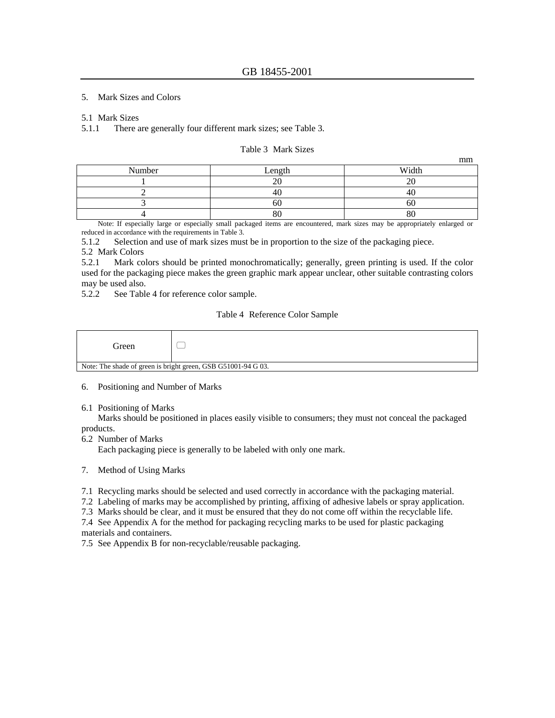#### 5. Mark Sizes and Colors

#### 5.1 Mark Sizes

5.1.1 There are generally four different mark sizes; see Table 3.

#### Table 3 Mark Sizes

mm

|        |           | ------ |
|--------|-----------|--------|
| Number | Length    | Width  |
|        | $\bigcap$ |        |
|        |           |        |
|        |           |        |
|        | 00        |        |

 Note: If especially large or especially small packaged items are encountered, mark sizes may be appropriately enlarged or reduced in accordance with the requirements in Table 3.

5.1.2 Selection and use of mark sizes must be in proportion to the size of the packaging piece.

#### 5.2 Mark Colors

5.2.1 Mark colors should be printed monochromatically; generally, green printing is used. If the color used for the packaging piece makes the green graphic mark appear unclear, other suitable contrasting colors may be used also.

5.2.2 See Table 4 for reference color sample.

### Table 4 Reference Color Sample

| Green                                                         |  |
|---------------------------------------------------------------|--|
| Note: The shade of green is bright green $CSB G51001.94 G.03$ |  |

Note: The shade of green is bright green, GSB G51001-94 G 03.

- 6. Positioning and Number of Marks
- 6.1 Positioning of Marks

 Marks should be positioned in places easily visible to consumers; they must not conceal the packaged products.

6.2 Number of Marks

Each packaging piece is generally to be labeled with only one mark.

- 7. Method of Using Marks
- 7.1 Recycling marks should be selected and used correctly in accordance with the packaging material.

7.2 Labeling of marks may be accomplished by printing, affixing of adhesive labels or spray application.

7.3 Marks should be clear, and it must be ensured that they do not come off within the recyclable life.

7.4 See Appendix A for the method for packaging recycling marks to be used for plastic packaging materials and containers.

7.5 See Appendix B for non-recyclable/reusable packaging.